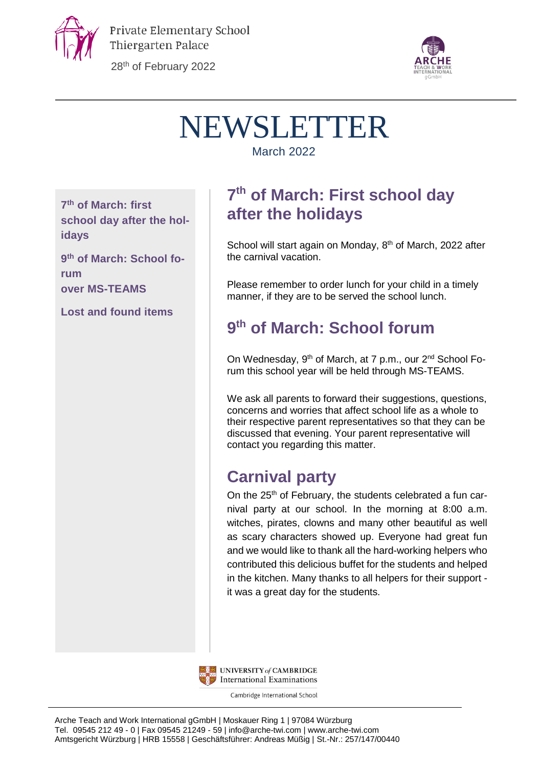

28th of February 2022



# NEWSLETTER

March 2022

**7 th of March: first school day after the holidays**

**9 th of March: School forum over MS-TEAMS**

**Lost and found items**

## **7 th of March: First school day after the holidays**

School will start again on Monday, 8<sup>th</sup> of March, 2022 after the carnival vacation.

Please remember to order lunch for your child in a timely manner, if they are to be served the school lunch.

## **9 th of March: School forum**

On Wednesday, 9<sup>th</sup> of March, at 7 p.m., our 2<sup>nd</sup> School Forum this school year will be held through MS-TEAMS.

We ask all parents to forward their suggestions, questions, concerns and worries that affect school life as a whole to their respective parent representatives so that they can be discussed that evening. Your parent representative will contact you regarding this matter.

## **Carnival party**

On the 25<sup>th</sup> of February, the students celebrated a fun carnival party at our school. In the morning at 8:00 a.m. witches, pirates, clowns and many other beautiful as well as scary characters showed up. Everyone had great fun and we would like to thank all the hard-working helpers who contributed this delicious buffet for the students and helped in the kitchen. Many thanks to all helpers for their support it was a great day for the students.



UNIVERSITY of CAMBRIDGE International Examinations

Cambridge International School